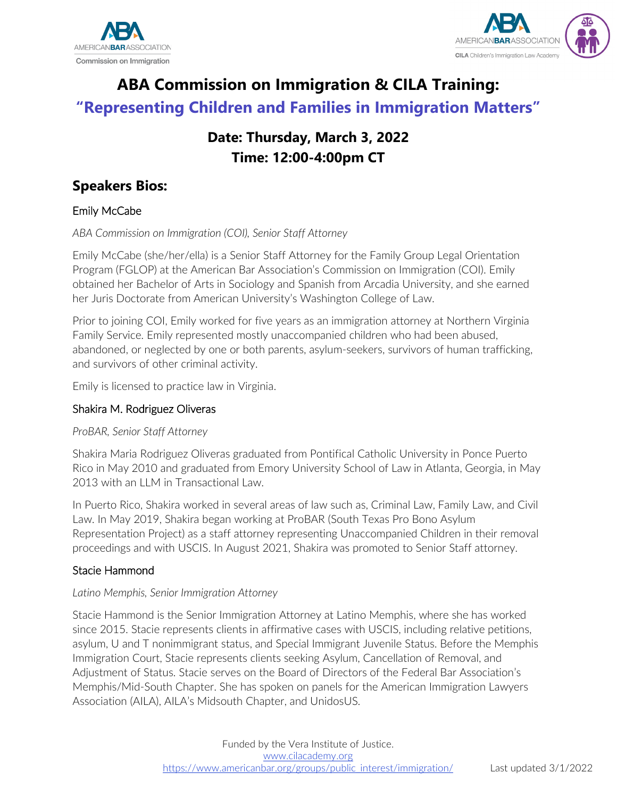



# **ABA Commission on Immigration & CILA Training: "Representing Children and Families in Immigration Matters"**

# **Date: Thursday, March 3, 2022 Time: 12:00-4:00pm CT**

# **Speakers Bios:**

# Emily McCabe

*ABA Commission on Immigration (COI), Senior Staff Attorney*

Emily McCabe (she/her/ella) is a Senior Staff Attorney for the Family Group Legal Orientation Program (FGLOP) at the American Bar Association's Commission on Immigration (COI). Emily obtained her Bachelor of Arts in Sociology and Spanish from Arcadia University, and she earned her Juris Doctorate from American University's Washington College of Law.

Prior to joining COI, Emily worked for five years as an immigration attorney at Northern Virginia Family Service. Emily represented mostly unaccompanied children who had been abused, abandoned, or neglected by one or both parents, asylum-seekers, survivors of human trafficking, and survivors of other criminal activity.

Emily is licensed to practice law in Virginia.

# Shakira M. Rodriguez Oliveras

# *ProBAR, Senior Staff Attorney*

Shakira Maria Rodriguez Oliveras graduated from Pontifical Catholic University in Ponce Puerto Rico in May 2010 and graduated from Emory University School of Law in Atlanta, Georgia, in May 2013 with an LLM in Transactional Law.

In Puerto Rico, Shakira worked in several areas of law such as, Criminal Law, Family Law, and Civil Law. In May 2019, Shakira began working at ProBAR (South Texas Pro Bono Asylum Representation Project) as a staff attorney representing Unaccompanied Children in their removal proceedings and with USCIS. In August 2021, Shakira was promoted to Senior Staff attorney.

# Stacie Hammond

# *Latino Memphis, Senior Immigration Attorney*

Stacie Hammond is the Senior Immigration Attorney at Latino Memphis, where she has worked since 2015. Stacie represents clients in affirmative cases with USCIS, including relative petitions, asylum, U and T nonimmigrant status, and Special Immigrant Juvenile Status. Before the Memphis Immigration Court, Stacie represents clients seeking Asylum, Cancellation of Removal, and Adjustment of Status. Stacie serves on the Board of Directors of the Federal Bar Association's Memphis/Mid-South Chapter. She has spoken on panels for the American Immigration Lawyers Association (AILA), AILA's Midsouth Chapter, and UnidosUS.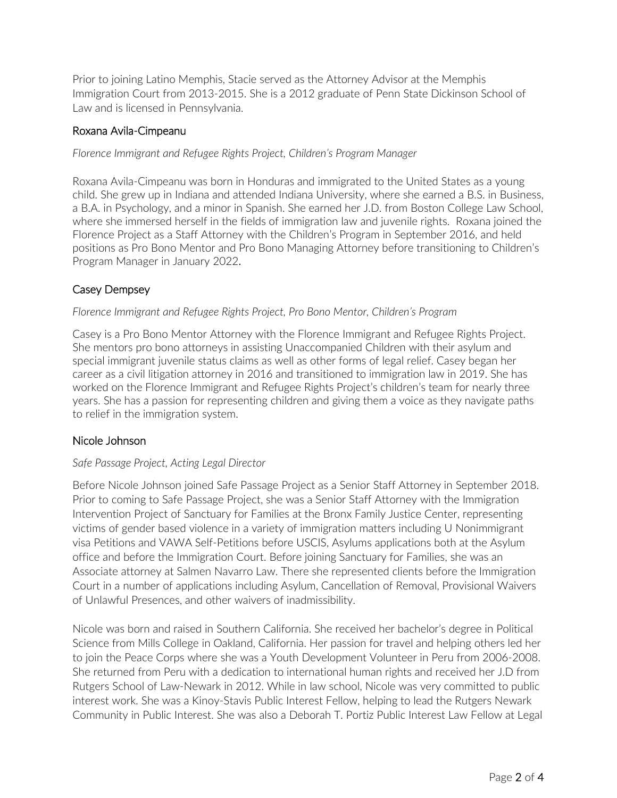Prior to joining Latino Memphis, Stacie served as the Attorney Advisor at the Memphis Immigration Court from 2013-2015. She is a 2012 graduate of Penn State Dickinson School of Law and is licensed in Pennsylvania.

#### Roxana Avila-Cimpeanu

*Florence Immigrant and Refugee Rights Project, Children's Program Manager*

Roxana Avila-Cimpeanu was born in Honduras and immigrated to the United States as a young child. She grew up in Indiana and attended Indiana University, where she earned a B.S. in Business, a B.A. in Psychology, and a minor in Spanish. She earned her J.D. from Boston College Law School, where she immersed herself in the fields of immigration law and juvenile rights. Roxana joined the Florence Project as a Staff Attorney with the Children's Program in September 2016, and held positions as Pro Bono Mentor and Pro Bono Managing Attorney before transitioning to Children's Program Manager in January 2022.

## Casey Dempsey

#### *Florence Immigrant and Refugee Rights Project, Pro Bono Mentor, Children's Program*

Casey is a Pro Bono Mentor Attorney with the Florence Immigrant and Refugee Rights Project. She mentors pro bono attorneys in assisting Unaccompanied Children with their asylum and special immigrant juvenile status claims as well as other forms of legal relief. Casey began her career as a civil litigation attorney in 2016 and transitioned to immigration law in 2019. She has worked on the Florence Immigrant and Refugee Rights Project's children's team for nearly three years. She has a passion for representing children and giving them a voice as they navigate paths to relief in the immigration system.

#### Nicole Johnson

#### *Safe Passage Project, Acting Legal Director*

Before Nicole Johnson joined Safe Passage Project as a Senior Staff Attorney in September 2018. Prior to coming to Safe Passage Project, she was a Senior Staff Attorney with the Immigration Intervention Project of Sanctuary for Families at the Bronx Family Justice Center, representing victims of gender based violence in a variety of immigration matters including U Nonimmigrant visa Petitions and VAWA Self-Petitions before USCIS, Asylums applications both at the Asylum office and before the Immigration Court. Before joining Sanctuary for Families, she was an Associate attorney at Salmen Navarro Law. There she represented clients before the Immigration Court in a number of applications including Asylum, Cancellation of Removal, Provisional Waivers of Unlawful Presences, and other waivers of inadmissibility.

Nicole was born and raised in Southern California. She received her bachelor's degree in Political Science from Mills College in Oakland, California. Her passion for travel and helping others led her to join the Peace Corps where she was a Youth Development Volunteer in Peru from 2006-2008. She returned from Peru with a dedication to international human rights and received her J.D from Rutgers School of Law-Newark in 2012. While in law school, Nicole was very committed to public interest work. She was a Kinoy-Stavis Public Interest Fellow, helping to lead the Rutgers Newark Community in Public Interest. She was also a Deborah T. Portiz Public Interest Law Fellow at Legal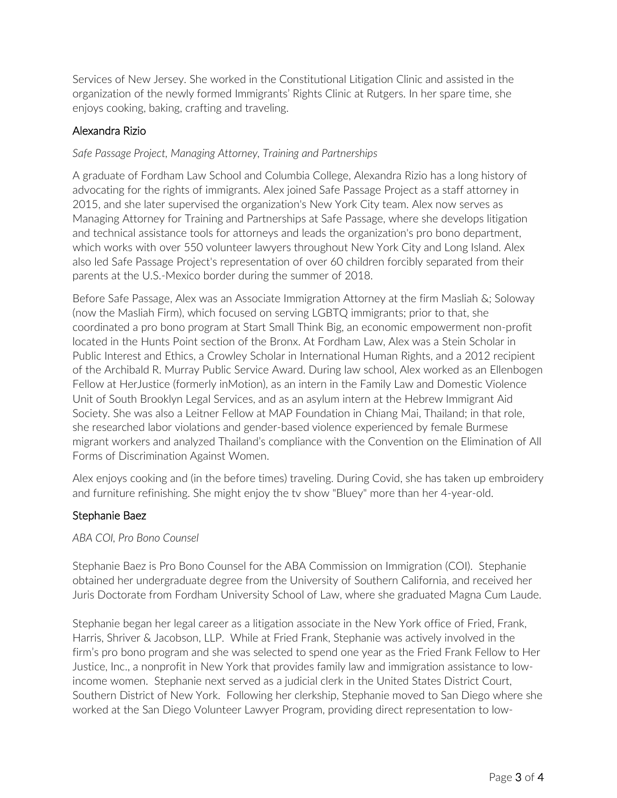Services of New Jersey. She worked in the Constitutional Litigation Clinic and assisted in the organization of the newly formed Immigrants' Rights Clinic at Rutgers. In her spare time, she enjoys cooking, baking, crafting and traveling.

# Alexandra Rizio

## *Safe Passage Project, Managing Attorney, Training and Partnerships*

A graduate of Fordham Law School and Columbia College, Alexandra Rizio has a long history of advocating for the rights of immigrants. Alex joined Safe Passage Project as a staff attorney in 2015, and she later supervised the organization's New York City team. Alex now serves as Managing Attorney for Training and Partnerships at Safe Passage, where she develops litigation and technical assistance tools for attorneys and leads the organization's pro bono department, which works with over 550 volunteer lawyers throughout New York City and Long Island. Alex also led Safe Passage Project's representation of over 60 children forcibly separated from their parents at the U.S.-Mexico border during the summer of 2018.

Before Safe Passage, Alex was an Associate Immigration Attorney at the firm Masliah &; Soloway (now the Masliah Firm), which focused on serving LGBTQ immigrants; prior to that, she coordinated a pro bono program at Start Small Think Big, an economic empowerment non-profit located in the Hunts Point section of the Bronx. At Fordham Law, Alex was a Stein Scholar in Public Interest and Ethics, a Crowley Scholar in International Human Rights, and a 2012 recipient of the Archibald R. Murray Public Service Award. During law school, Alex worked as an Ellenbogen Fellow at HerJustice (formerly inMotion), as an intern in the Family Law and Domestic Violence Unit of South Brooklyn Legal Services, and as an asylum intern at the Hebrew Immigrant Aid Society. She was also a Leitner Fellow at MAP Foundation in Chiang Mai, Thailand; in that role, she researched labor violations and gender-based violence experienced by female Burmese migrant workers and analyzed Thailand's compliance with the Convention on the Elimination of All Forms of Discrimination Against Women.

Alex enjoys cooking and (in the before times) traveling. During Covid, she has taken up embroidery and furniture refinishing. She might enjoy the tv show "Bluey" more than her 4-year-old.

#### Stephanie Baez

*ABA COI, Pro Bono Counsel*

Stephanie Baez is Pro Bono Counsel for the ABA Commission on Immigration (COI). Stephanie obtained her undergraduate degree from the University of Southern California, and received her Juris Doctorate from Fordham University School of Law, where she graduated Magna Cum Laude.

Stephanie began her legal career as a litigation associate in the New York office of Fried, Frank, Harris, Shriver & Jacobson, LLP. While at Fried Frank, Stephanie was actively involved in the firm's pro bono program and she was selected to spend one year as the Fried Frank Fellow to Her Justice, Inc., a nonprofit in New York that provides family law and immigration assistance to lowincome women. Stephanie next served as a judicial clerk in the United States District Court, Southern District of New York. Following her clerkship, Stephanie moved to San Diego where she worked at the San Diego Volunteer Lawyer Program, providing direct representation to low